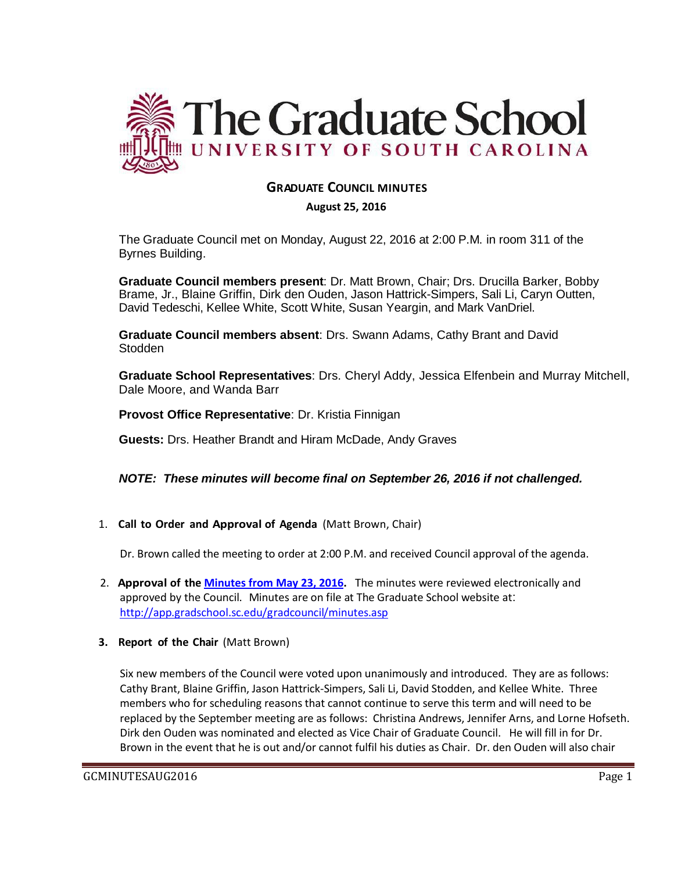

# **GRADUATE COUNCIL MINUTES**

## **August 25, 2016**

The Graduate Council met on Monday, August 22, 2016 at 2:00 P.M. in room 311 of the Byrnes Building.

**Graduate Council members present**: Dr. Matt Brown, Chair; Drs. Drucilla Barker, Bobby Brame, Jr., Blaine Griffin, Dirk den Ouden, Jason Hattrick-Simpers, Sali Li, Caryn Outten, David Tedeschi, Kellee White, Scott White, Susan Yeargin, and Mark VanDriel.

**Graduate Council members absent**: Drs. Swann Adams, Cathy Brant and David Stodden

**Graduate School Representatives**: Drs. Cheryl Addy, Jessica Elfenbein and Murray Mitchell, Dale Moore, and Wanda Barr

**Provost Office Representative**: Dr. Kristia Finnigan

**Guests:** Drs. Heather Brandt and Hiram McDade, Andy Graves

# *NOTE: These minutes will become final on September 26, 2016 if not challenged.*

1. **Call to Order and Approval of Agenda** (Matt Brown, Chair)

Dr. Brown called the meeting to order at 2:00 P.M. and received Council approval of the agenda.

- 2. **Approval of the [Minutes from May 23, 2016.](http://gradschool.sc.edu/facstaff/gradcouncil/2015/GCMINUTESMAY23%202016mm.pdf)** The minutes were reviewed electronically and approved by the Council. Minutes are on file at The Graduate School website at: <http://app.gradschool.sc.edu/gradcouncil/minutes.asp>
- **3. Report of the Chair** (Matt Brown)

Six new members of the Council were voted upon unanimously and introduced. They are as follows: Cathy Brant, Blaine Griffin, Jason Hattrick-Simpers, Sali Li, David Stodden, and Kellee White. Three members who for scheduling reasons that cannot continue to serve this term and will need to be replaced by the September meeting are as follows: Christina Andrews, Jennifer Arns, and Lorne Hofseth. Dirk den Ouden was nominated and elected as Vice Chair of Graduate Council. He will fill in for Dr. Brown in the event that he is out and/or cannot fulfil his duties as Chair. Dr. den Ouden will also chair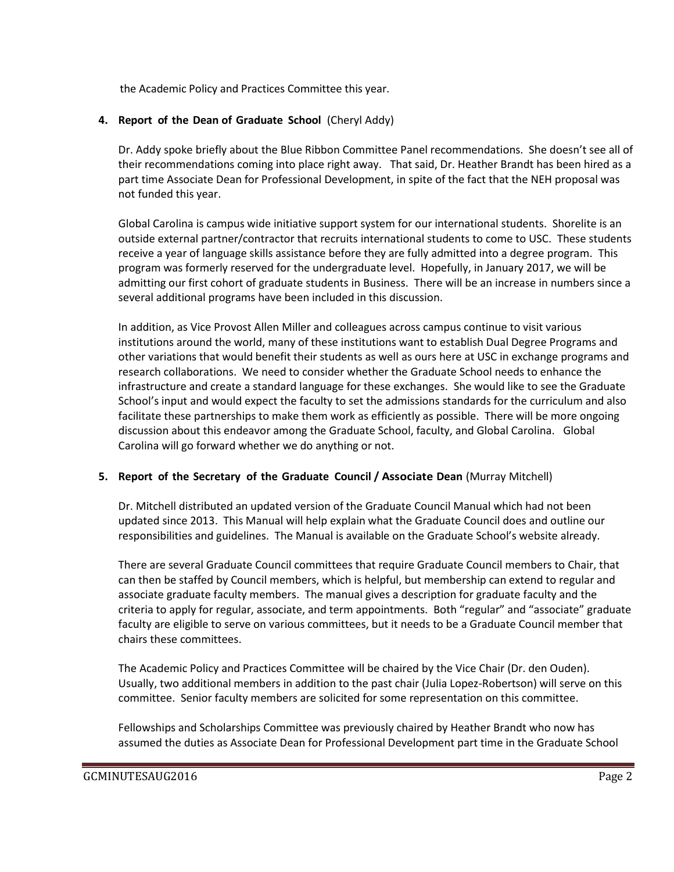the Academic Policy and Practices Committee this year.

# **4. Report of the Dean of Graduate School** (Cheryl Addy)

Dr. Addy spoke briefly about the Blue Ribbon Committee Panel recommendations. She doesn't see all of their recommendations coming into place right away. That said, Dr. Heather Brandt has been hired as a part time Associate Dean for Professional Development, in spite of the fact that the NEH proposal was not funded this year.

Global Carolina is campus wide initiative support system for our international students. Shorelite is an outside external partner/contractor that recruits international students to come to USC. These students receive a year of language skills assistance before they are fully admitted into a degree program. This program was formerly reserved for the undergraduate level. Hopefully, in January 2017, we will be admitting our first cohort of graduate students in Business. There will be an increase in numbers since a several additional programs have been included in this discussion.

In addition, as Vice Provost Allen Miller and colleagues across campus continue to visit various institutions around the world, many of these institutions want to establish Dual Degree Programs and other variations that would benefit their students as well as ours here at USC in exchange programs and research collaborations. We need to consider whether the Graduate School needs to enhance the infrastructure and create a standard language for these exchanges. She would like to see the Graduate School's input and would expect the faculty to set the admissions standards for the curriculum and also facilitate these partnerships to make them work as efficiently as possible. There will be more ongoing discussion about this endeavor among the Graduate School, faculty, and Global Carolina. Global Carolina will go forward whether we do anything or not.

# **5. Report of the Secretary of the Graduate Council / Associate Dean** (Murray Mitchell)

Dr. Mitchell distributed an updated version of the Graduate Council Manual which had not been updated since 2013. This Manual will help explain what the Graduate Council does and outline our responsibilities and guidelines. The Manual is available on the Graduate School's website already.

There are several Graduate Council committees that require Graduate Council members to Chair, that can then be staffed by Council members, which is helpful, but membership can extend to regular and associate graduate faculty members. The manual gives a description for graduate faculty and the criteria to apply for regular, associate, and term appointments. Both "regular" and "associate" graduate faculty are eligible to serve on various committees, but it needs to be a Graduate Council member that chairs these committees.

The Academic Policy and Practices Committee will be chaired by the Vice Chair (Dr. den Ouden). Usually, two additional members in addition to the past chair (Julia Lopez-Robertson) will serve on this committee. Senior faculty members are solicited for some representation on this committee.

Fellowships and Scholarships Committee was previously chaired by Heather Brandt who now has assumed the duties as Associate Dean for Professional Development part time in the Graduate School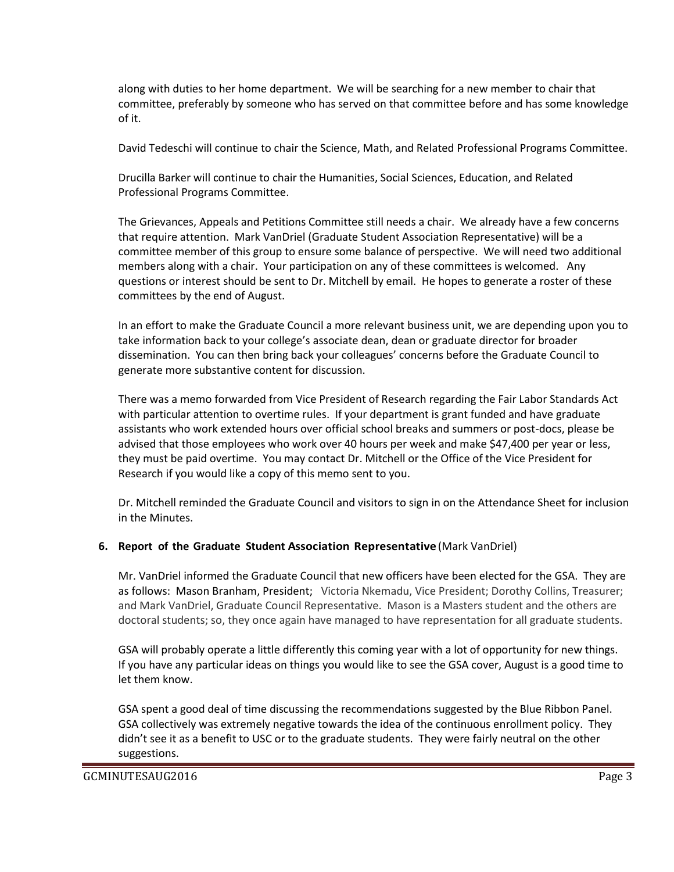along with duties to her home department. We will be searching for a new member to chair that committee, preferably by someone who has served on that committee before and has some knowledge of it.

David Tedeschi will continue to chair the Science, Math, and Related Professional Programs Committee.

Drucilla Barker will continue to chair the Humanities, Social Sciences, Education, and Related Professional Programs Committee.

The Grievances, Appeals and Petitions Committee still needs a chair. We already have a few concerns that require attention. Mark VanDriel (Graduate Student Association Representative) will be a committee member of this group to ensure some balance of perspective. We will need two additional members along with a chair. Your participation on any of these committees is welcomed. Any questions or interest should be sent to Dr. Mitchell by email. He hopes to generate a roster of these committees by the end of August.

In an effort to make the Graduate Council a more relevant business unit, we are depending upon you to take information back to your college's associate dean, dean or graduate director for broader dissemination. You can then bring back your colleagues' concerns before the Graduate Council to generate more substantive content for discussion.

There was a memo forwarded from Vice President of Research regarding the Fair Labor Standards Act with particular attention to overtime rules. If your department is grant funded and have graduate assistants who work extended hours over official school breaks and summers or post-docs, please be advised that those employees who work over 40 hours per week and make \$47,400 per year or less, they must be paid overtime. You may contact Dr. Mitchell or the Office of the Vice President for Research if you would like a copy of this memo sent to you.

Dr. Mitchell reminded the Graduate Council and visitors to sign in on the Attendance Sheet for inclusion in the Minutes.

## **6. Report of the Graduate Student Association Representative** (Mark VanDriel)

Mr. VanDriel informed the Graduate Council that new officers have been elected for the GSA. They are as follows: Mason Branham, President; Victoria Nkemadu, Vice President; Dorothy Collins, Treasurer; and Mark VanDriel, Graduate Council Representative. Mason is a Masters student and the others are doctoral students; so, they once again have managed to have representation for all graduate students.

GSA will probably operate a little differently this coming year with a lot of opportunity for new things. If you have any particular ideas on things you would like to see the GSA cover, August is a good time to let them know.

GSA spent a good deal of time discussing the recommendations suggested by the Blue Ribbon Panel. GSA collectively was extremely negative towards the idea of the continuous enrollment policy. They didn't see it as a benefit to USC or to the graduate students. They were fairly neutral on the other suggestions.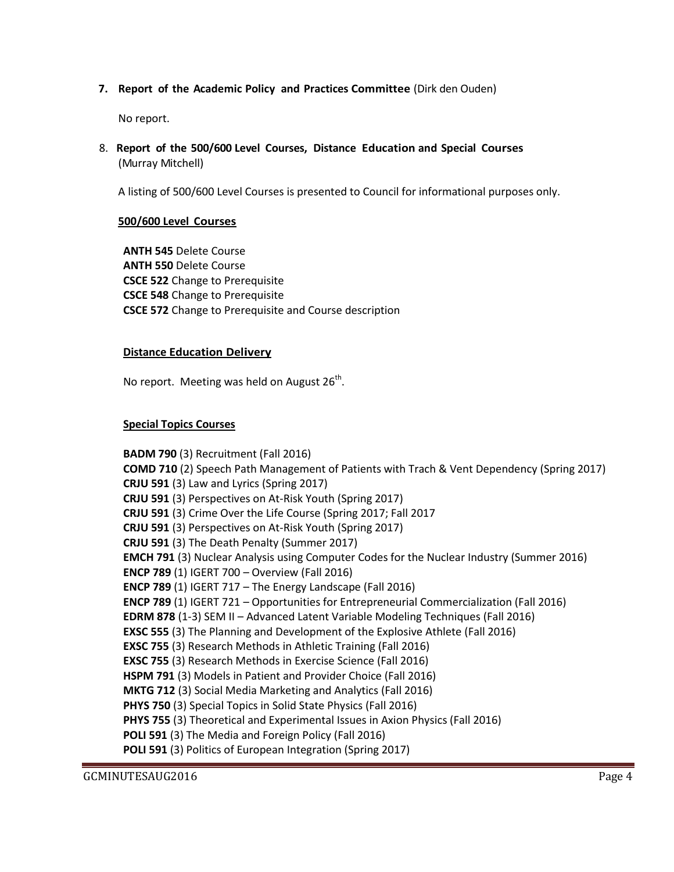**7. Report of the Academic Policy and Practices Committee** (Dirk den Ouden)

No report.

8. **Report of the 500/600 Level Courses, Distance Education and Special Courses** (Murray Mitchell)

A listing of 500/600 Level Courses is presented to Council for informational purposes only.

## **500/600 Level Courses**

**ANTH 545** Delete Course **ANTH 550** Delete Course **CSCE 522** Change to Prerequisite **CSCE 548** Change to Prerequisite **CSCE 572** Change to Prerequisite and Course description

## **Distance Education Delivery**

No report. Meeting was held on August 26<sup>th</sup>.

## **Special Topics Courses**

**BADM 790** (3) Recruitment (Fall 2016) **COMD 710** (2) Speech Path Management of Patients with Trach & Vent Dependency (Spring 2017) **CRJU 591** (3) Law and Lyrics (Spring 2017) **CRJU 591** (3) Perspectives on At-Risk Youth (Spring 2017) **CRJU 591** (3) Crime Over the Life Course (Spring 2017; Fall 2017 **CRJU 591** (3) Perspectives on At-Risk Youth (Spring 2017) **CRJU 591** (3) The Death Penalty (Summer 2017) **EMCH 791** (3) Nuclear Analysis using Computer Codes for the Nuclear Industry (Summer 2016) **ENCP 789** (1) IGERT 700 – Overview (Fall 2016) **ENCP 789** (1) IGERT 717 – The Energy Landscape (Fall 2016) **ENCP 789** (1) IGERT 721 – Opportunities for Entrepreneurial Commercialization (Fall 2016) **EDRM 878** (1-3) SEM II – Advanced Latent Variable Modeling Techniques (Fall 2016) **EXSC 555** (3) The Planning and Development of the Explosive Athlete (Fall 2016) **EXSC 755** (3) Research Methods in Athletic Training (Fall 2016) **EXSC 755** (3) Research Methods in Exercise Science (Fall 2016) **HSPM 791** (3) Models in Patient and Provider Choice (Fall 2016) **MKTG 712** (3) Social Media Marketing and Analytics (Fall 2016) **PHYS 750** (3) Special Topics in Solid State Physics (Fall 2016) **PHYS 755** (3) Theoretical and Experimental Issues in Axion Physics (Fall 2016) **POLI 591** (3) The Media and Foreign Policy (Fall 2016) **POLI 591** (3) Politics of European Integration (Spring 2017)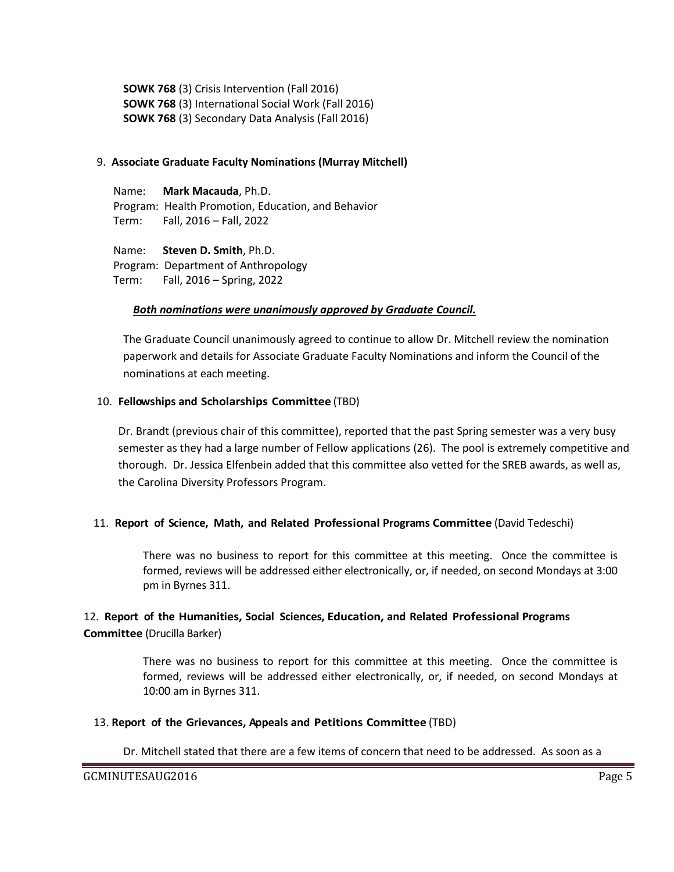**SOWK 768** (3) Crisis Intervention (Fall 2016) **SOWK 768** (3) International Social Work (Fall 2016) **SOWK 768** (3) Secondary Data Analysis (Fall 2016)

## 9. **Associate Graduate Faculty Nominations (Murray Mitchell)**

Name: **Mark Macauda**, Ph.D. Program: Health Promotion, Education, and Behavior Term: Fall, 2016 – Fall, 2022

Name: **Steven D. Smith**, Ph.D. Program: Department of Anthropology Term: Fall, 2016 – Spring, 2022

## *Both nominations were unanimously approved by Graduate Council.*

The Graduate Council unanimously agreed to continue to allow Dr. Mitchell review the nomination paperwork and details for Associate Graduate Faculty Nominations and inform the Council of the nominations at each meeting.

## 10. **Fellowships and Scholarships Committee** (TBD)

Dr. Brandt (previous chair of this committee), reported that the past Spring semester was a very busy semester as they had a large number of Fellow applications (26). The pool is extremely competitive and thorough. Dr. Jessica Elfenbein added that this committee also vetted for the SREB awards, as well as, the Carolina Diversity Professors Program.

## 11. **Report of Science, Math, and Related Professional Programs Committee** (David Tedeschi)

There was no business to report for this committee at this meeting. Once the committee is formed, reviews will be addressed either electronically, or, if needed, on second Mondays at 3:00 pm in Byrnes 311.

# 12. **Report of the Humanities, Social Sciences, Education, and Related Professional Programs Committee** (Drucilla Barker)

There was no business to report for this committee at this meeting. Once the committee is formed, reviews will be addressed either electronically, or, if needed, on second Mondays at 10:00 am in Byrnes 311.

## 13. **Report of the Grievances, Appeals and Petitions Committee** (TBD)

Dr. Mitchell stated that there are a few items of concern that need to be addressed. As soon as a